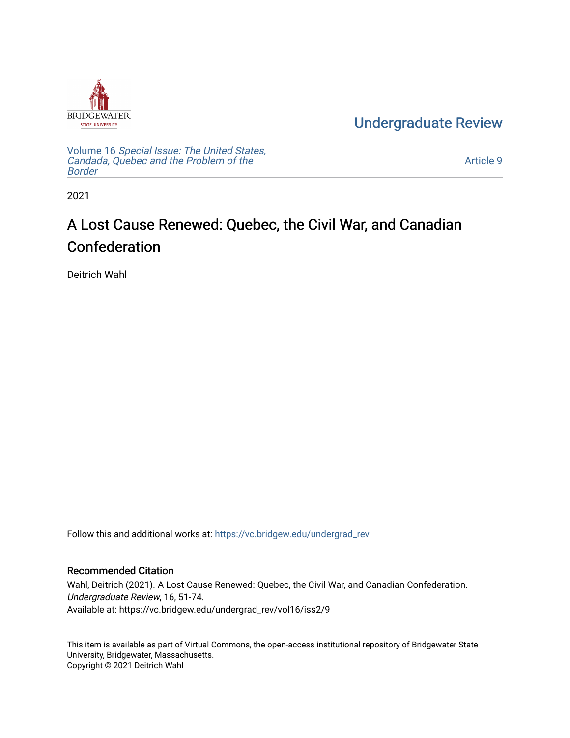

[Undergraduate Review](https://vc.bridgew.edu/undergrad_rev) 

Volume 16 [Special Issue: The United States,](https://vc.bridgew.edu/undergrad_rev/vol16)  [Candada, Quebec and the Problem of the](https://vc.bridgew.edu/undergrad_rev/vol16)  [Border](https://vc.bridgew.edu/undergrad_rev/vol16)

[Article 9](https://vc.bridgew.edu/undergrad_rev/vol16/iss2/9) 

2021

## A Lost Cause Renewed: Quebec, the Civil War, and Canadian Confederation

Deitrich Wahl

Follow this and additional works at: [https://vc.bridgew.edu/undergrad\\_rev](https://vc.bridgew.edu/undergrad_rev?utm_source=vc.bridgew.edu%2Fundergrad_rev%2Fvol16%2Fiss2%2F9&utm_medium=PDF&utm_campaign=PDFCoverPages)

### Recommended Citation

Wahl, Deitrich (2021). A Lost Cause Renewed: Quebec, the Civil War, and Canadian Confederation. Undergraduate Review, 16, 51-74. Available at: https://vc.bridgew.edu/undergrad\_rev/vol16/iss2/9

This item is available as part of Virtual Commons, the open-access institutional repository of Bridgewater State University, Bridgewater, Massachusetts. Copyright © 2021 Deitrich Wahl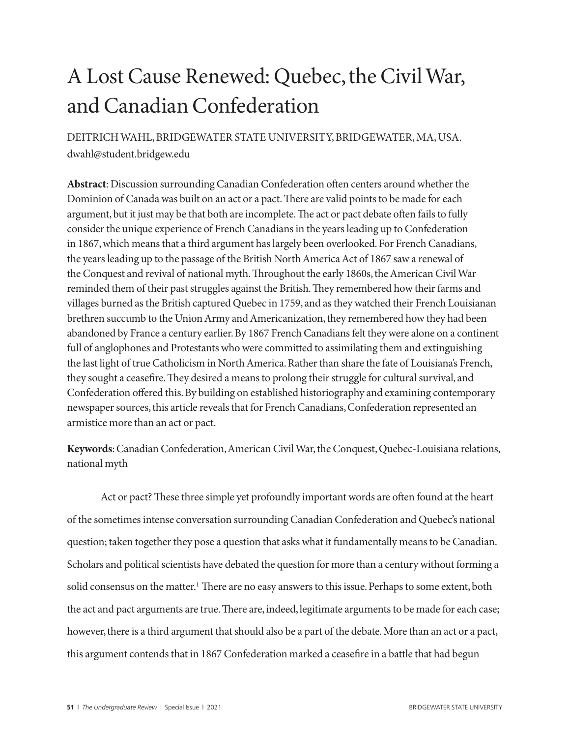# A Lost Cause Renewed: Quebec, the Civil War, and Canadian Confederation

DEITRICH WAHL, BRIDGEWATER STATE UNIVERSITY, BRIDGEWATER, MA, USA. dwahl@student.bridgew.edu

**Abstract**: Discussion surrounding Canadian Confederation often centers around whether the Dominion of Canada was built on an act or a pact. There are valid points to be made for each argument, but it just may be that both are incomplete. The act or pact debate often fails to fully consider the unique experience of French Canadians in the years leading up to Confederation in 1867, which means that a third argument has largely been overlooked. For French Canadians, the years leading up to the passage of the British North America Act of 1867 saw a renewal of the Conquest and revival of national myth. Throughout the early 1860s, the American Civil War reminded them of their past struggles against the British. They remembered how their farms and villages burned as the British captured Quebec in 1759, and as they watched their French Louisianan brethren succumb to the Union Army and Americanization, they remembered how they had been abandoned by France a century earlier. By 1867 French Canadians felt they were alone on a continent full of anglophones and Protestants who were committed to assimilating them and extinguishing the last light of true Catholicism in North America. Rather than share the fate of Louisiana's French, they sought a ceasefire. They desired a means to prolong their struggle for cultural survival, and Confederation offered this. By building on established historiography and examining contemporary newspaper sources, this article reveals that for French Canadians, Confederation represented an armistice more than an act or pact.

**Keywords**: Canadian Confederation, American Civil War, the Conquest, Quebec-Louisiana relations, national myth

Act or pact? These three simple yet profoundly important words are often found at the heart of the sometimes intense conversation surrounding Canadian Confederation and Quebec's national question; taken together they pose a question that asks what it fundamentally means to be Canadian. Scholars and political scientists have debated the question for more than a century without forming a solid consensus on the matter.<sup>1</sup> There are no easy answers to this issue. Perhaps to some extent, both the act and pact arguments are true. There are, indeed, legitimate arguments to be made for each case; however, there is a third argument that should also be a part of the debate. More than an act or a pact, this argument contends that in 1867 Confederation marked a ceasefire in a battle that had begun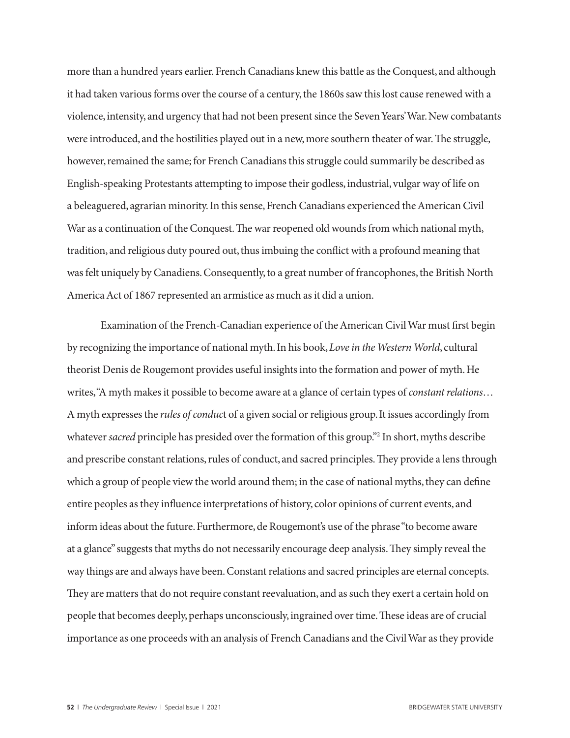more than a hundred years earlier. French Canadians knew this battle as the Conquest, and although it had taken various forms over the course of a century, the 1860s saw this lost cause renewed with a violence, intensity, and urgency that had not been present since the Seven Years' War. New combatants were introduced, and the hostilities played out in a new, more southern theater of war. The struggle, however, remained the same; for French Canadians this struggle could summarily be described as English-speaking Protestants attempting to impose their godless, industrial, vulgar way of life on a beleaguered, agrarian minority. In this sense, French Canadians experienced the American Civil War as a continuation of the Conquest. The war reopened old wounds from which national myth, tradition, and religious duty poured out, thus imbuing the conflict with a profound meaning that was felt uniquely by Canadiens. Consequently, to a great number of francophones, the British North America Act of 1867 represented an armistice as much as it did a union.

Examination of the French-Canadian experience of the American Civil War must first begin by recognizing the importance of national myth. In his book, *Love in the Western World*, cultural theorist Denis de Rougemont provides useful insights into the formation and power of myth. He writes, "A myth makes it possible to become aware at a glance of certain types of *constant relations*… A myth expresses the *rules of conduc*t of a given social or religious group. It issues accordingly from whatever *sacred* principle has presided over the formation of this group."2 In short, myths describe and prescribe constant relations, rules of conduct, and sacred principles. They provide a lens through which a group of people view the world around them; in the case of national myths, they can define entire peoples as they influence interpretations of history, color opinions of current events, and inform ideas about the future. Furthermore, de Rougemont's use of the phrase "to become aware at a glance" suggests that myths do not necessarily encourage deep analysis. They simply reveal the way things are and always have been. Constant relations and sacred principles are eternal concepts. They are matters that do not require constant reevaluation, and as such they exert a certain hold on people that becomes deeply, perhaps unconsciously, ingrained over time. These ideas are of crucial importance as one proceeds with an analysis of French Canadians and the Civil War as they provide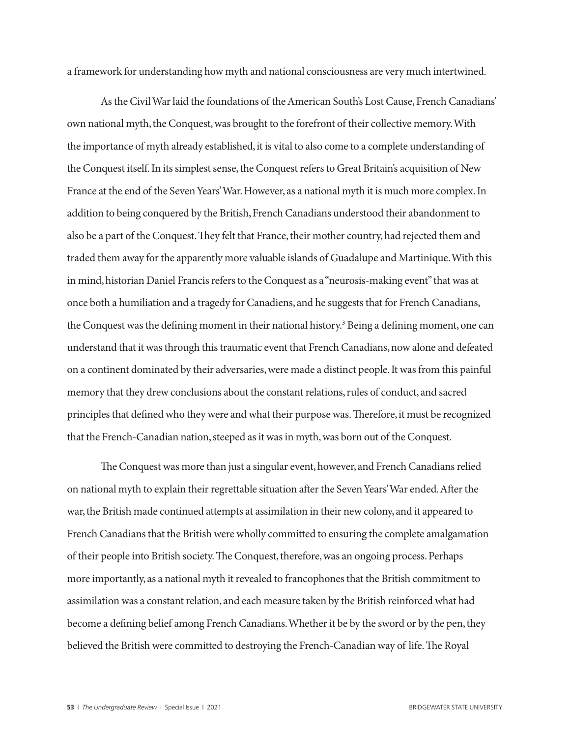a framework for understanding how myth and national consciousness are very much intertwined.

As the Civil War laid the foundations of the American South's Lost Cause, French Canadians' own national myth, the Conquest, was brought to the forefront of their collective memory. With the importance of myth already established, it is vital to also come to a complete understanding of the Conquest itself. In its simplest sense, the Conquest refers to Great Britain's acquisition of New France at the end of the Seven Years' War. However, as a national myth it is much more complex. In addition to being conquered by the British, French Canadians understood their abandonment to also be a part of the Conquest. They felt that France, their mother country, had rejected them and traded them away for the apparently more valuable islands of Guadalupe and Martinique. With this in mind, historian Daniel Francis refers to the Conquest as a "neurosis-making event" that was at once both a humiliation and a tragedy for Canadiens, and he suggests that for French Canadians, the Conquest was the defining moment in their national history.<sup>3</sup> Being a defining moment, one can understand that it was through this traumatic event that French Canadians, now alone and defeated on a continent dominated by their adversaries, were made a distinct people. It was from this painful memory that they drew conclusions about the constant relations, rules of conduct, and sacred principles that defined who they were and what their purpose was. Therefore, it must be recognized that the French-Canadian nation, steeped as it was in myth, was born out of the Conquest.

The Conquest was more than just a singular event, however, and French Canadians relied on national myth to explain their regrettable situation after the Seven Years' War ended. After the war, the British made continued attempts at assimilation in their new colony, and it appeared to French Canadians that the British were wholly committed to ensuring the complete amalgamation of their people into British society. The Conquest, therefore, was an ongoing process. Perhaps more importantly, as a national myth it revealed to francophones that the British commitment to assimilation was a constant relation, and each measure taken by the British reinforced what had become a defining belief among French Canadians. Whether it be by the sword or by the pen, they believed the British were committed to destroying the French-Canadian way of life. The Royal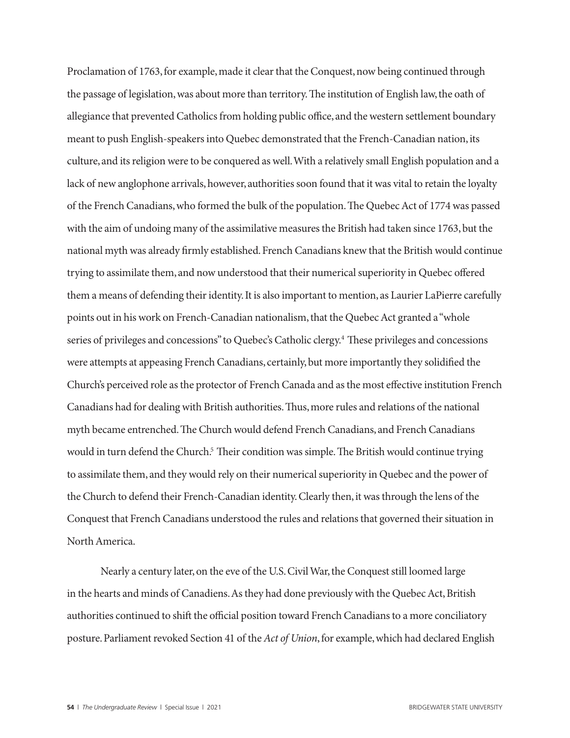Proclamation of 1763, for example, made it clear that the Conquest, now being continued through the passage of legislation, was about more than territory. The institution of English law, the oath of allegiance that prevented Catholics from holding public office, and the western settlement boundary meant to push English-speakers into Quebec demonstrated that the French-Canadian nation, its culture, and its religion were to be conquered as well. With a relatively small English population and a lack of new anglophone arrivals, however, authorities soon found that it was vital to retain the loyalty of the French Canadians, who formed the bulk of the population. The Quebec Act of 1774 was passed with the aim of undoing many of the assimilative measures the British had taken since 1763, but the national myth was already firmly established. French Canadians knew that the British would continue trying to assimilate them, and now understood that their numerical superiority in Quebec offered them a means of defending their identity. It is also important to mention, as Laurier LaPierre carefully points out in his work on French-Canadian nationalism, that the Quebec Act granted a "whole series of privileges and concessions" to Quebec's Catholic clergy.<sup>4</sup> These privileges and concessions were attempts at appeasing French Canadians, certainly, but more importantly they solidified the Church's perceived role as the protector of French Canada and as the most effective institution French Canadians had for dealing with British authorities. Thus, more rules and relations of the national myth became entrenched. The Church would defend French Canadians, and French Canadians would in turn defend the Church.<sup>5</sup> Their condition was simple. The British would continue trying to assimilate them, and they would rely on their numerical superiority in Quebec and the power of the Church to defend their French-Canadian identity. Clearly then, it was through the lens of the Conquest that French Canadians understood the rules and relations that governed their situation in North America.

Nearly a century later, on the eve of the U.S. Civil War, the Conquest still loomed large in the hearts and minds of Canadiens. As they had done previously with the Quebec Act, British authorities continued to shift the official position toward French Canadians to a more conciliatory posture. Parliament revoked Section 41 of the *Act of Union*, for example, which had declared English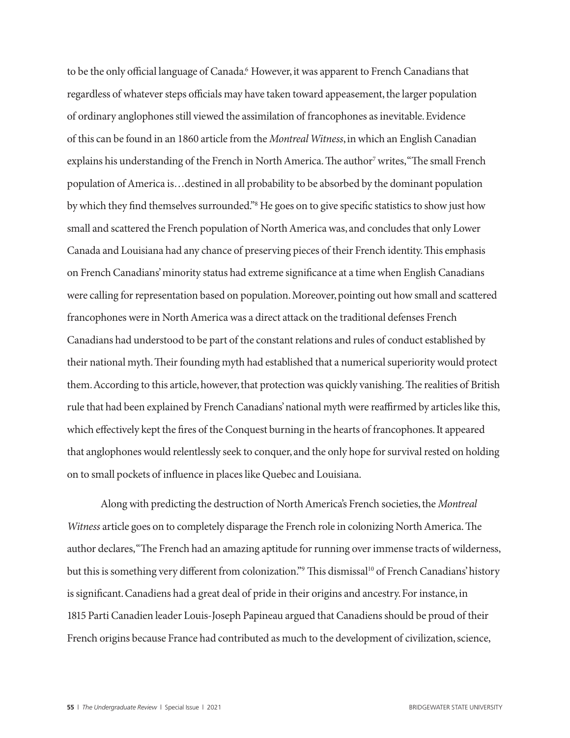to be the only official language of Canada.6 However, it was apparent to French Canadians that regardless of whatever steps officials may have taken toward appeasement, the larger population of ordinary anglophones still viewed the assimilation of francophones as inevitable. Evidence of this can be found in an 1860 article from the *Montreal Witness*, in which an English Canadian explains his understanding of the French in North America. The author<sup>7</sup> writes, "The small French population of America is…destined in all probability to be absorbed by the dominant population by which they find themselves surrounded."8 He goes on to give specific statistics to show just how small and scattered the French population of North America was, and concludes that only Lower Canada and Louisiana had any chance of preserving pieces of their French identity. This emphasis on French Canadians' minority status had extreme significance at a time when English Canadians were calling for representation based on population. Moreover, pointing out how small and scattered francophones were in North America was a direct attack on the traditional defenses French Canadians had understood to be part of the constant relations and rules of conduct established by their national myth. Their founding myth had established that a numerical superiority would protect them. According to this article, however, that protection was quickly vanishing. The realities of British rule that had been explained by French Canadians' national myth were reaffirmed by articles like this, which effectively kept the fires of the Conquest burning in the hearts of francophones. It appeared that anglophones would relentlessly seek to conquer, and the only hope for survival rested on holding on to small pockets of influence in places like Quebec and Louisiana.

Along with predicting the destruction of North America's French societies, the *Montreal Witness* article goes on to completely disparage the French role in colonizing North America. The author declares, "The French had an amazing aptitude for running over immense tracts of wilderness, but this is something very different from colonization." This dismissal<sup>10</sup> of French Canadians' history is significant. Canadiens had a great deal of pride in their origins and ancestry. For instance, in 1815 Parti Canadien leader Louis-Joseph Papineau argued that Canadiens should be proud of their French origins because France had contributed as much to the development of civilization, science,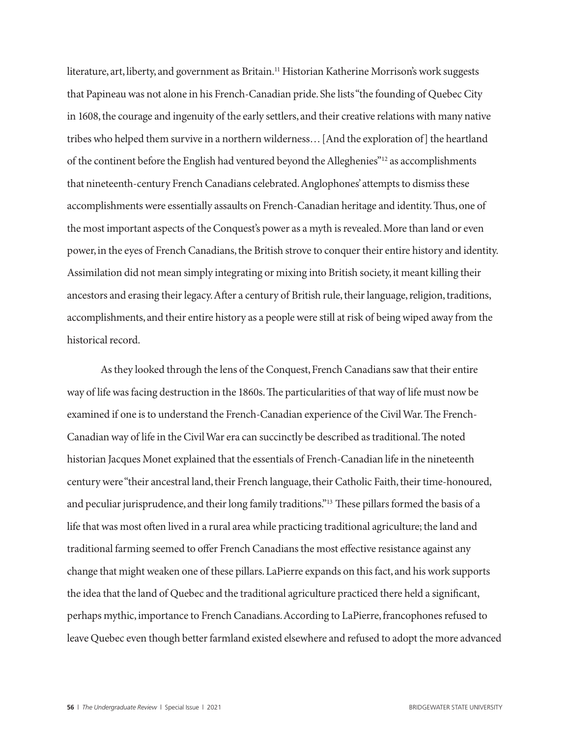literature, art, liberty, and government as Britain.<sup>11</sup> Historian Katherine Morrison's work suggests that Papineau was not alone in his French-Canadian pride. She lists "the founding of Quebec City in 1608, the courage and ingenuity of the early settlers, and their creative relations with many native tribes who helped them survive in a northern wilderness… [And the exploration of] the heartland of the continent before the English had ventured beyond the Alleghenies"12 as accomplishments that nineteenth-century French Canadians celebrated. Anglophones' attempts to dismiss these accomplishments were essentially assaults on French-Canadian heritage and identity. Thus, one of the most important aspects of the Conquest's power as a myth is revealed. More than land or even power, in the eyes of French Canadians, the British strove to conquer their entire history and identity. Assimilation did not mean simply integrating or mixing into British society, it meant killing their ancestors and erasing their legacy. After a century of British rule, their language, religion, traditions, accomplishments, and their entire history as a people were still at risk of being wiped away from the historical record.

As they looked through the lens of the Conquest, French Canadians saw that their entire way of life was facing destruction in the 1860s. The particularities of that way of life must now be examined if one is to understand the French-Canadian experience of the Civil War. The French-Canadian way of life in the Civil War era can succinctly be described as traditional. The noted historian Jacques Monet explained that the essentials of French-Canadian life in the nineteenth century were "their ancestral land, their French language, their Catholic Faith, their time-honoured, and peculiar jurisprudence, and their long family traditions."13 These pillars formed the basis of a life that was most often lived in a rural area while practicing traditional agriculture; the land and traditional farming seemed to offer French Canadians the most effective resistance against any change that might weaken one of these pillars. LaPierre expands on this fact, and his work supports the idea that the land of Quebec and the traditional agriculture practiced there held a significant, perhaps mythic, importance to French Canadians. According to LaPierre, francophones refused to leave Quebec even though better farmland existed elsewhere and refused to adopt the more advanced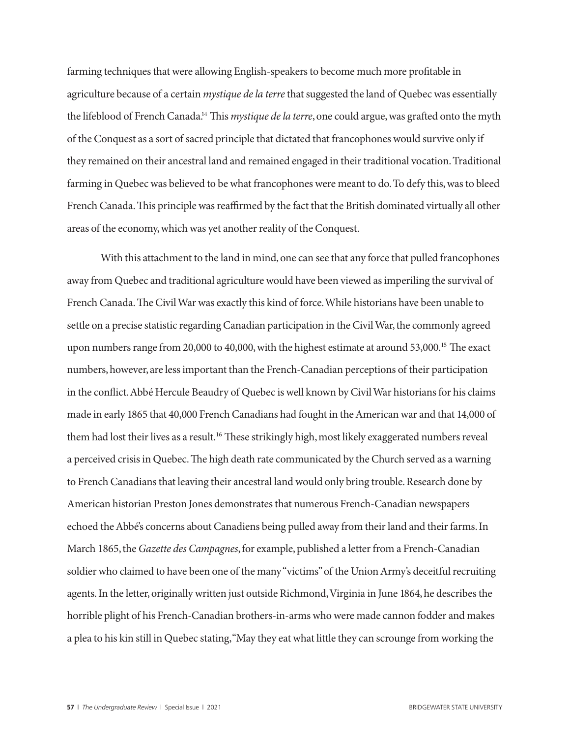farming techniques that were allowing English-speakers to become much more profitable in agriculture because of a certain *mystique de la terre* that suggested the land of Quebec was essentially the lifeblood of French Canada.14 This *mystique de la terre*, one could argue, was grafted onto the myth of the Conquest as a sort of sacred principle that dictated that francophones would survive only if they remained on their ancestral land and remained engaged in their traditional vocation. Traditional farming in Quebec was believed to be what francophones were meant to do. To defy this, was to bleed French Canada. This principle was reaffirmed by the fact that the British dominated virtually all other areas of the economy, which was yet another reality of the Conquest.

With this attachment to the land in mind, one can see that any force that pulled francophones away from Quebec and traditional agriculture would have been viewed as imperiling the survival of French Canada. The Civil War was exactly this kind of force. While historians have been unable to settle on a precise statistic regarding Canadian participation in the Civil War, the commonly agreed upon numbers range from 20,000 to 40,000, with the highest estimate at around 53,000.<sup>15</sup> The exact numbers, however, are less important than the French-Canadian perceptions of their participation in the conflict. Abbé Hercule Beaudry of Quebec is well known by Civil War historians for his claims made in early 1865 that 40,000 French Canadians had fought in the American war and that 14,000 of them had lost their lives as a result.<sup>16</sup> These strikingly high, most likely exaggerated numbers reveal a perceived crisis in Quebec. The high death rate communicated by the Church served as a warning to French Canadians that leaving their ancestral land would only bring trouble. Research done by American historian Preston Jones demonstrates that numerous French-Canadian newspapers echoed the Abbé's concerns about Canadiens being pulled away from their land and their farms. In March 1865, the *Gazette des Campagnes*, for example, published a letter from a French-Canadian soldier who claimed to have been one of the many "victims" of the Union Army's deceitful recruiting agents. In the letter, originally written just outside Richmond, Virginia in June 1864, he describes the horrible plight of his French-Canadian brothers-in-arms who were made cannon fodder and makes a plea to his kin still in Quebec stating, "May they eat what little they can scrounge from working the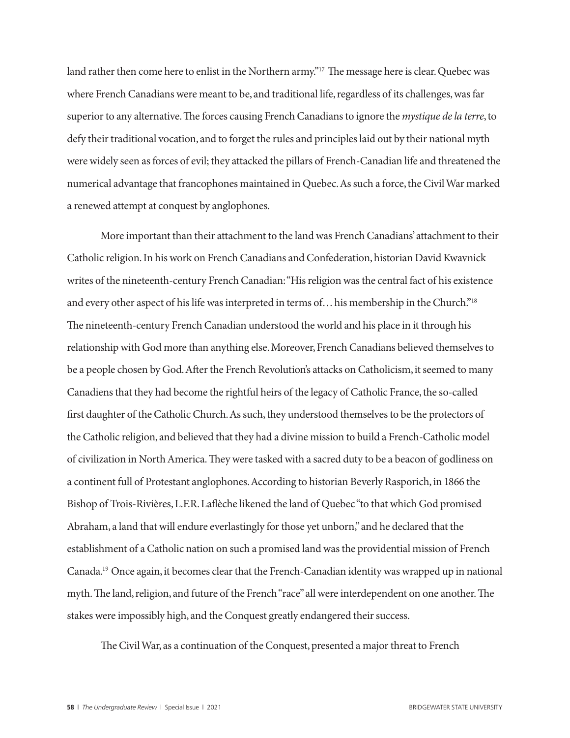land rather then come here to enlist in the Northern army."<sup>17</sup> The message here is clear. Quebec was where French Canadians were meant to be, and traditional life, regardless of its challenges, was far superior to any alternative. The forces causing French Canadians to ignore the *mystique de la terre*, to defy their traditional vocation, and to forget the rules and principles laid out by their national myth were widely seen as forces of evil; they attacked the pillars of French-Canadian life and threatened the numerical advantage that francophones maintained in Quebec. As such a force, the Civil War marked a renewed attempt at conquest by anglophones.

More important than their attachment to the land was French Canadians' attachment to their Catholic religion. In his work on French Canadians and Confederation, historian David Kwavnick writes of the nineteenth-century French Canadian: "His religion was the central fact of his existence and every other aspect of his life was interpreted in terms of… his membership in the Church."18 The nineteenth-century French Canadian understood the world and his place in it through his relationship with God more than anything else. Moreover, French Canadians believed themselves to be a people chosen by God. After the French Revolution's attacks on Catholicism, it seemed to many Canadiens that they had become the rightful heirs of the legacy of Catholic France, the so-called first daughter of the Catholic Church. As such, they understood themselves to be the protectors of the Catholic religion, and believed that they had a divine mission to build a French-Catholic model of civilization in North America. They were tasked with a sacred duty to be a beacon of godliness on a continent full of Protestant anglophones. According to historian Beverly Rasporich, in 1866 the Bishop of Trois-Rivières, L.F.R. Laflèche likened the land of Quebec "to that which God promised Abraham, a land that will endure everlastingly for those yet unborn," and he declared that the establishment of a Catholic nation on such a promised land was the providential mission of French Canada.19 Once again, it becomes clear that the French-Canadian identity was wrapped up in national myth. The land, religion, and future of the French "race" all were interdependent on one another. The stakes were impossibly high, and the Conquest greatly endangered their success.

The Civil War, as a continuation of the Conquest, presented a major threat to French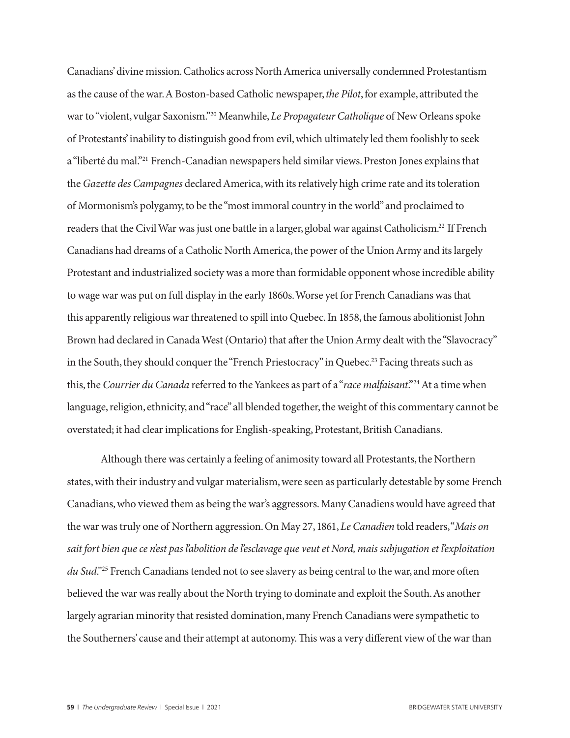Canadians' divine mission. Catholics across North America universally condemned Protestantism as the cause of the war. A Boston-based Catholic newspaper, *the Pilot*, for example, attributed the war to "violent, vulgar Saxonism."20 Meanwhile, *Le Propagateur Catholique* of New Orleans spoke of Protestants' inability to distinguish good from evil, which ultimately led them foolishly to seek a "liberté du mal."21 French-Canadian newspapers held similar views. Preston Jones explains that the *Gazette des Campagnes* declared America, with its relatively high crime rate and its toleration of Mormonism's polygamy, to be the "most immoral country in the world" and proclaimed to readers that the Civil War was just one battle in a larger, global war against Catholicism.22 If French Canadians had dreams of a Catholic North America, the power of the Union Army and its largely Protestant and industrialized society was a more than formidable opponent whose incredible ability to wage war was put on full display in the early 1860s. Worse yet for French Canadians was that this apparently religious war threatened to spill into Quebec. In 1858, the famous abolitionist John Brown had declared in Canada West (Ontario) that after the Union Army dealt with the "Slavocracy" in the South, they should conquer the "French Priestocracy" in Quebec.<sup>23</sup> Facing threats such as this, the *Courrier du Canada* referred to the Yankees as part of a "*race malfaisant*."24 At a time when language, religion, ethnicity, and "race" all blended together, the weight of this commentary cannot be overstated; it had clear implications for English-speaking, Protestant, British Canadians.

Although there was certainly a feeling of animosity toward all Protestants, the Northern states, with their industry and vulgar materialism, were seen as particularly detestable by some French Canadians, who viewed them as being the war's aggressors. Many Canadiens would have agreed that the war was truly one of Northern aggression. On May 27, 1861, *Le Canadien* told readers, "*Mais on sait fort bien que ce n'est pas l'abolition de l'esclavage que veut et Nord, mais subjugation et l'exploitation du Sud*."25 French Canadians tended not to see slavery as being central to the war, and more often believed the war was really about the North trying to dominate and exploit the South. As another largely agrarian minority that resisted domination, many French Canadians were sympathetic to the Southerners' cause and their attempt at autonomy. This was a very different view of the war than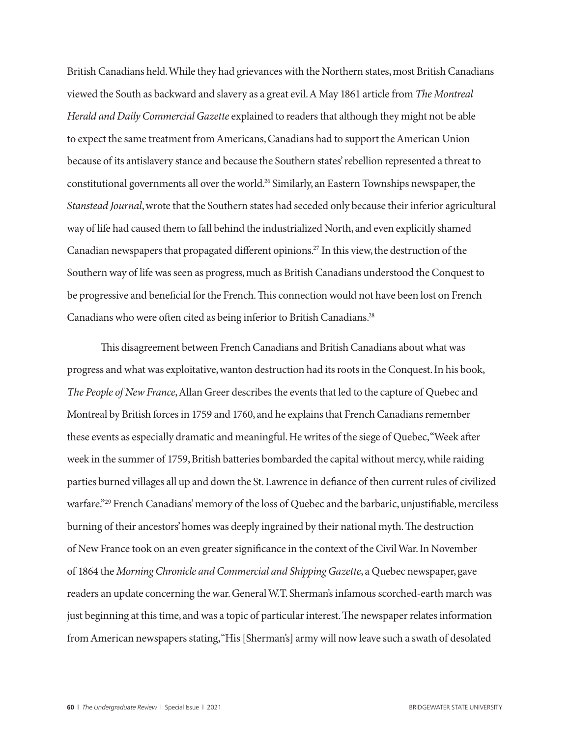British Canadians held. While they had grievances with the Northern states, most British Canadians viewed the South as backward and slavery as a great evil. A May 1861 article from *The Montreal Herald and Daily Commercial Gazette* explained to readers that although they might not be able to expect the same treatment from Americans, Canadians had to support the American Union because of its antislavery stance and because the Southern states' rebellion represented a threat to constitutional governments all over the world.26 Similarly, an Eastern Townships newspaper, the *Stanstead Journal*, wrote that the Southern states had seceded only because their inferior agricultural way of life had caused them to fall behind the industrialized North, and even explicitly shamed Canadian newspapers that propagated different opinions.27 In this view, the destruction of the Southern way of life was seen as progress, much as British Canadians understood the Conquest to be progressive and beneficial for the French. This connection would not have been lost on French Canadians who were often cited as being inferior to British Canadians.28

This disagreement between French Canadians and British Canadians about what was progress and what was exploitative, wanton destruction had its roots in the Conquest. In his book, *The People of New France*, Allan Greer describes the events that led to the capture of Quebec and Montreal by British forces in 1759 and 1760, and he explains that French Canadians remember these events as especially dramatic and meaningful. He writes of the siege of Quebec, "Week after week in the summer of 1759, British batteries bombarded the capital without mercy, while raiding parties burned villages all up and down the St. Lawrence in defiance of then current rules of civilized warfare."29 French Canadians' memory of the loss of Quebec and the barbaric, unjustifiable, merciless burning of their ancestors' homes was deeply ingrained by their national myth. The destruction of New France took on an even greater significance in the context of the Civil War. In November of 1864 the *Morning Chronicle and Commercial and Shipping Gazette*, a Quebec newspaper, gave readers an update concerning the war. General W.T. Sherman's infamous scorched-earth march was just beginning at this time, and was a topic of particular interest. The newspaper relates information from American newspapers stating, "His [Sherman's] army will now leave such a swath of desolated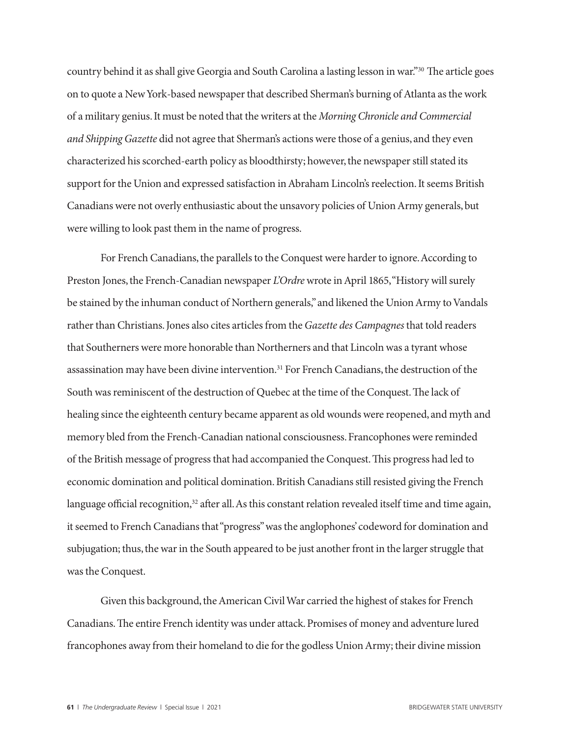country behind it as shall give Georgia and South Carolina a lasting lesson in war."30 The article goes on to quote a New York-based newspaper that described Sherman's burning of Atlanta as the work of a military genius. It must be noted that the writers at the *Morning Chronicle and Commercial and Shipping Gazette* did not agree that Sherman's actions were those of a genius, and they even characterized his scorched-earth policy as bloodthirsty; however, the newspaper still stated its support for the Union and expressed satisfaction in Abraham Lincoln's reelection. It seems British Canadians were not overly enthusiastic about the unsavory policies of Union Army generals, but were willing to look past them in the name of progress.

For French Canadians, the parallels to the Conquest were harder to ignore. According to Preston Jones, the French-Canadian newspaper *L'Ordre* wrote in April 1865, "History will surely be stained by the inhuman conduct of Northern generals," and likened the Union Army to Vandals rather than Christians. Jones also cites articles from the *Gazette des Campagnes* that told readers that Southerners were more honorable than Northerners and that Lincoln was a tyrant whose assassination may have been divine intervention.<sup>31</sup> For French Canadians, the destruction of the South was reminiscent of the destruction of Quebec at the time of the Conquest. The lack of healing since the eighteenth century became apparent as old wounds were reopened, and myth and memory bled from the French-Canadian national consciousness. Francophones were reminded of the British message of progress that had accompanied the Conquest. This progress had led to economic domination and political domination. British Canadians still resisted giving the French language official recognition,<sup>32</sup> after all. As this constant relation revealed itself time and time again, it seemed to French Canadians that "progress" was the anglophones' codeword for domination and subjugation; thus, the war in the South appeared to be just another front in the larger struggle that was the Conquest.

Given this background, the American Civil War carried the highest of stakes for French Canadians. The entire French identity was under attack. Promises of money and adventure lured francophones away from their homeland to die for the godless Union Army; their divine mission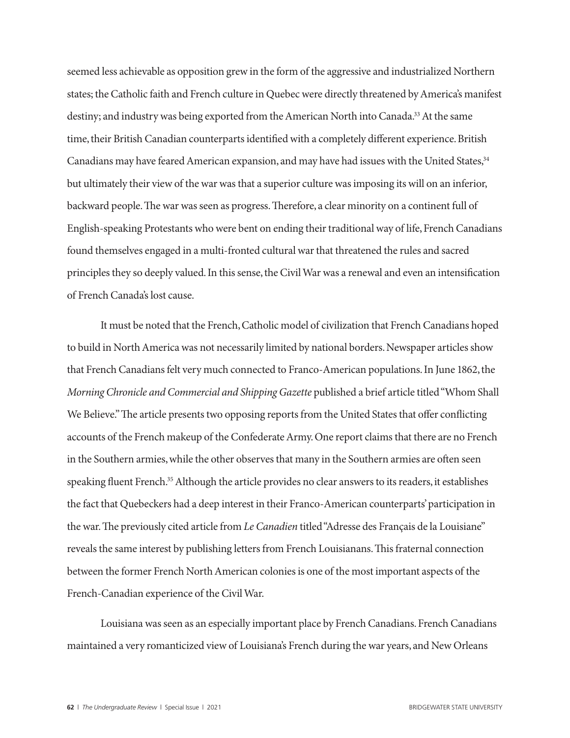seemed less achievable as opposition grew in the form of the aggressive and industrialized Northern states; the Catholic faith and French culture in Quebec were directly threatened by America's manifest destiny; and industry was being exported from the American North into Canada.<sup>33</sup> At the same time, their British Canadian counterparts identified with a completely different experience. British Canadians may have feared American expansion, and may have had issues with the United States,  $34$ but ultimately their view of the war was that a superior culture was imposing its will on an inferior, backward people. The war was seen as progress. Therefore, a clear minority on a continent full of English-speaking Protestants who were bent on ending their traditional way of life, French Canadians found themselves engaged in a multi-fronted cultural war that threatened the rules and sacred principles they so deeply valued. In this sense, the Civil War was a renewal and even an intensification of French Canada's lost cause.

It must be noted that the French, Catholic model of civilization that French Canadians hoped to build in North America was not necessarily limited by national borders. Newspaper articles show that French Canadians felt very much connected to Franco-American populations. In June 1862, the *Morning Chronicle and Commercial and Shipping Gazette* published a brief article titled "Whom Shall We Believe." The article presents two opposing reports from the United States that offer conflicting accounts of the French makeup of the Confederate Army. One report claims that there are no French in the Southern armies, while the other observes that many in the Southern armies are often seen speaking fluent French.<sup>35</sup> Although the article provides no clear answers to its readers, it establishes the fact that Quebeckers had a deep interest in their Franco-American counterparts' participation in the war. The previously cited article from *Le Canadien* titled "Adresse des Français de la Louisiane" reveals the same interest by publishing letters from French Louisianans. This fraternal connection between the former French North American colonies is one of the most important aspects of the French-Canadian experience of the Civil War.

Louisiana was seen as an especially important place by French Canadians. French Canadians maintained a very romanticized view of Louisiana's French during the war years, and New Orleans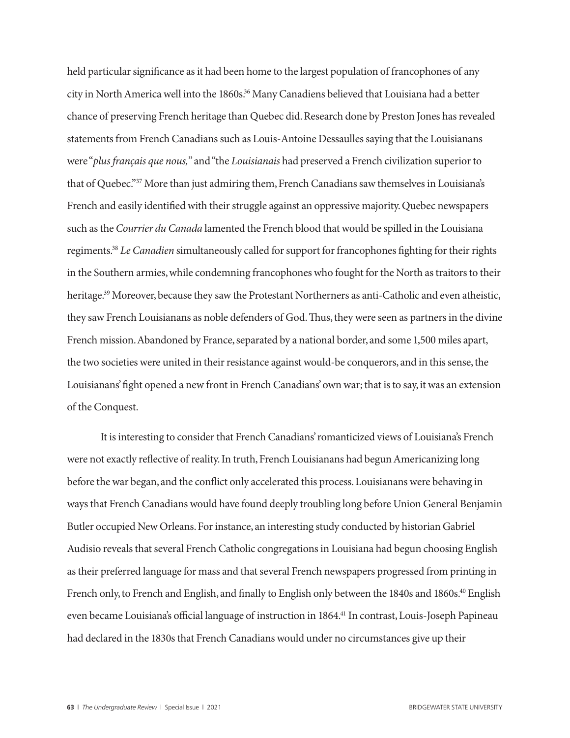held particular significance as it had been home to the largest population of francophones of any city in North America well into the 1860s.<sup>36</sup> Many Canadiens believed that Louisiana had a better chance of preserving French heritage than Quebec did. Research done by Preston Jones has revealed statements from French Canadians such as Louis-Antoine Dessaulles saying that the Louisianans were "*plus français que nous,*" and "the *Louisianais* had preserved a French civilization superior to that of Quebec."37 More than just admiring them, French Canadians saw themselves in Louisiana's French and easily identified with their struggle against an oppressive majority. Quebec newspapers such as the *Courrier du Canada* lamented the French blood that would be spilled in the Louisiana regiments.38 *Le Canadien* simultaneously called for support for francophones fighting for their rights in the Southern armies, while condemning francophones who fought for the North as traitors to their heritage.<sup>39</sup> Moreover, because they saw the Protestant Northerners as anti-Catholic and even atheistic, they saw French Louisianans as noble defenders of God. Thus, they were seen as partners in the divine French mission. Abandoned by France, separated by a national border, and some 1,500 miles apart, the two societies were united in their resistance against would-be conquerors, and in this sense, the Louisianans' fight opened a new front in French Canadians' own war; that is to say, it was an extension of the Conquest.

It is interesting to consider that French Canadians' romanticized views of Louisiana's French were not exactly reflective of reality. In truth, French Louisianans had begun Americanizing long before the war began, and the conflict only accelerated this process. Louisianans were behaving in ways that French Canadians would have found deeply troubling long before Union General Benjamin Butler occupied New Orleans. For instance, an interesting study conducted by historian Gabriel Audisio reveals that several French Catholic congregations in Louisiana had begun choosing English as their preferred language for mass and that several French newspapers progressed from printing in French only, to French and English, and finally to English only between the 1840s and 1860s.<sup>40</sup> English even became Louisiana's official language of instruction in 1864.<sup>41</sup> In contrast, Louis-Joseph Papineau had declared in the 1830s that French Canadians would under no circumstances give up their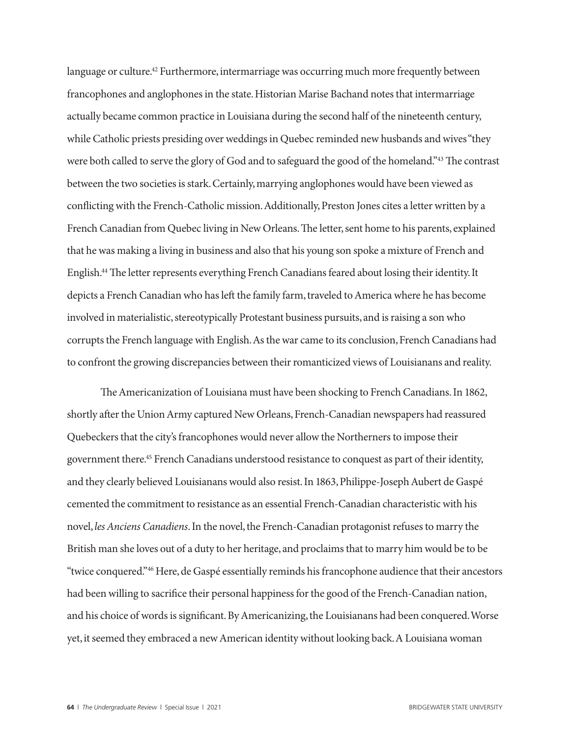language or culture.<sup>42</sup> Furthermore, intermarriage was occurring much more frequently between francophones and anglophones in the state. Historian Marise Bachand notes that intermarriage actually became common practice in Louisiana during the second half of the nineteenth century, while Catholic priests presiding over weddings in Quebec reminded new husbands and wives "they were both called to serve the glory of God and to safeguard the good of the homeland."<sup>43</sup> The contrast between the two societies is stark. Certainly, marrying anglophones would have been viewed as conflicting with the French-Catholic mission. Additionally, Preston Jones cites a letter written by a French Canadian from Quebec living in New Orleans. The letter, sent home to his parents, explained that he was making a living in business and also that his young son spoke a mixture of French and English.44 The letter represents everything French Canadians feared about losing their identity. It depicts a French Canadian who has left the family farm, traveled to America where he has become involved in materialistic, stereotypically Protestant business pursuits, and is raising a son who corrupts the French language with English. As the war came to its conclusion, French Canadians had to confront the growing discrepancies between their romanticized views of Louisianans and reality.

The Americanization of Louisiana must have been shocking to French Canadians. In 1862, shortly after the Union Army captured New Orleans, French-Canadian newspapers had reassured Quebeckers that the city's francophones would never allow the Northerners to impose their government there.45 French Canadians understood resistance to conquest as part of their identity, and they clearly believed Louisianans would also resist. In 1863, Philippe-Joseph Aubert de Gaspé cemented the commitment to resistance as an essential French-Canadian characteristic with his novel, *les Anciens Canadiens*. In the novel, the French-Canadian protagonist refuses to marry the British man she loves out of a duty to her heritage, and proclaims that to marry him would be to be "twice conquered."46 Here, de Gaspé essentially reminds his francophone audience that their ancestors had been willing to sacrifice their personal happiness for the good of the French-Canadian nation, and his choice of words is significant. By Americanizing, the Louisianans had been conquered. Worse yet, it seemed they embraced a new American identity without looking back. A Louisiana woman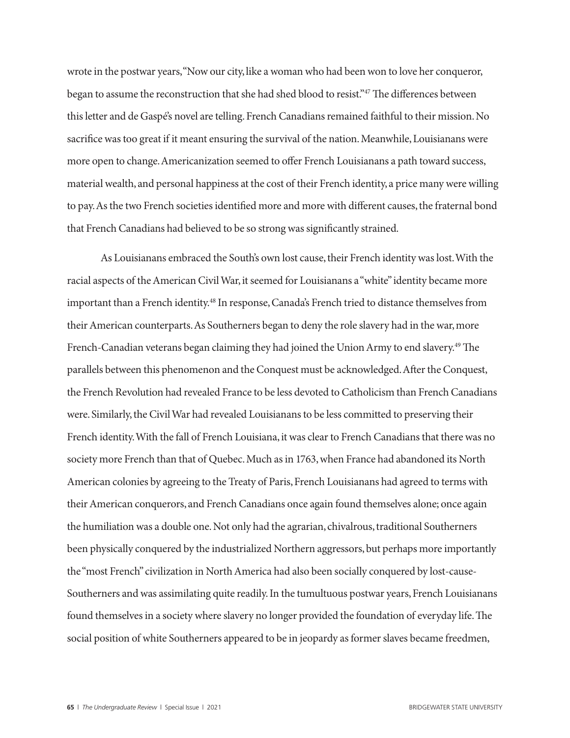wrote in the postwar years, "Now our city, like a woman who had been won to love her conqueror, began to assume the reconstruction that she had shed blood to resist."47 The differences between this letter and de Gaspé's novel are telling. French Canadians remained faithful to their mission. No sacrifice was too great if it meant ensuring the survival of the nation. Meanwhile, Louisianans were more open to change. Americanization seemed to offer French Louisianans a path toward success, material wealth, and personal happiness at the cost of their French identity, a price many were willing to pay. As the two French societies identified more and more with different causes, the fraternal bond that French Canadians had believed to be so strong was significantly strained.

As Louisianans embraced the South's own lost cause, their French identity was lost. With the racial aspects of the American Civil War, it seemed for Louisianans a "white" identity became more important than a French identity.<sup>48</sup> In response, Canada's French tried to distance themselves from their American counterparts. As Southerners began to deny the role slavery had in the war, more French-Canadian veterans began claiming they had joined the Union Army to end slavery.<sup>49</sup> The parallels between this phenomenon and the Conquest must be acknowledged. After the Conquest, the French Revolution had revealed France to be less devoted to Catholicism than French Canadians were. Similarly, the Civil War had revealed Louisianans to be less committed to preserving their French identity. With the fall of French Louisiana, it was clear to French Canadians that there was no society more French than that of Quebec. Much as in 1763, when France had abandoned its North American colonies by agreeing to the Treaty of Paris, French Louisianans had agreed to terms with their American conquerors, and French Canadians once again found themselves alone; once again the humiliation was a double one. Not only had the agrarian, chivalrous, traditional Southerners been physically conquered by the industrialized Northern aggressors, but perhaps more importantly the "most French" civilization in North America had also been socially conquered by lost-cause-Southerners and was assimilating quite readily. In the tumultuous postwar years, French Louisianans found themselves in a society where slavery no longer provided the foundation of everyday life. The social position of white Southerners appeared to be in jeopardy as former slaves became freedmen,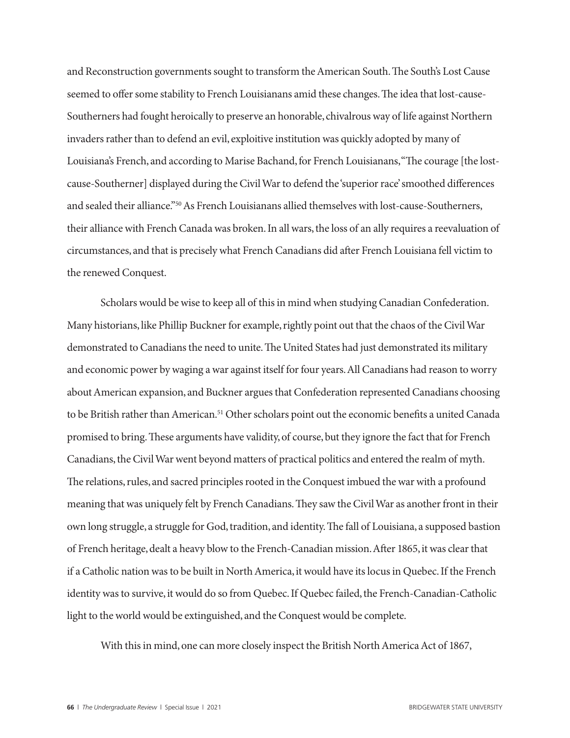and Reconstruction governments sought to transform the American South. The South's Lost Cause seemed to offer some stability to French Louisianans amid these changes. The idea that lost-cause-Southerners had fought heroically to preserve an honorable, chivalrous way of life against Northern invaders rather than to defend an evil, exploitive institution was quickly adopted by many of Louisiana's French, and according to Marise Bachand, for French Louisianans, "The courage [the lostcause-Southerner] displayed during the Civil War to defend the 'superior race' smoothed differences and sealed their alliance."50 As French Louisianans allied themselves with lost-cause-Southerners, their alliance with French Canada was broken. In all wars, the loss of an ally requires a reevaluation of circumstances, and that is precisely what French Canadians did after French Louisiana fell victim to the renewed Conquest.

Scholars would be wise to keep all of this in mind when studying Canadian Confederation. Many historians, like Phillip Buckner for example, rightly point out that the chaos of the Civil War demonstrated to Canadians the need to unite. The United States had just demonstrated its military and economic power by waging a war against itself for four years. All Canadians had reason to worry about American expansion, and Buckner argues that Confederation represented Canadians choosing to be British rather than American.<sup>51</sup> Other scholars point out the economic benefits a united Canada promised to bring. These arguments have validity, of course, but they ignore the fact that for French Canadians, the Civil War went beyond matters of practical politics and entered the realm of myth. The relations, rules, and sacred principles rooted in the Conquest imbued the war with a profound meaning that was uniquely felt by French Canadians. They saw the Civil War as another front in their own long struggle, a struggle for God, tradition, and identity. The fall of Louisiana, a supposed bastion of French heritage, dealt a heavy blow to the French-Canadian mission. After 1865, it was clear that if a Catholic nation was to be built in North America, it would have its locus in Quebec. If the French identity was to survive, it would do so from Quebec. If Quebec failed, the French-Canadian-Catholic light to the world would be extinguished, and the Conquest would be complete.

With this in mind, one can more closely inspect the British North America Act of 1867,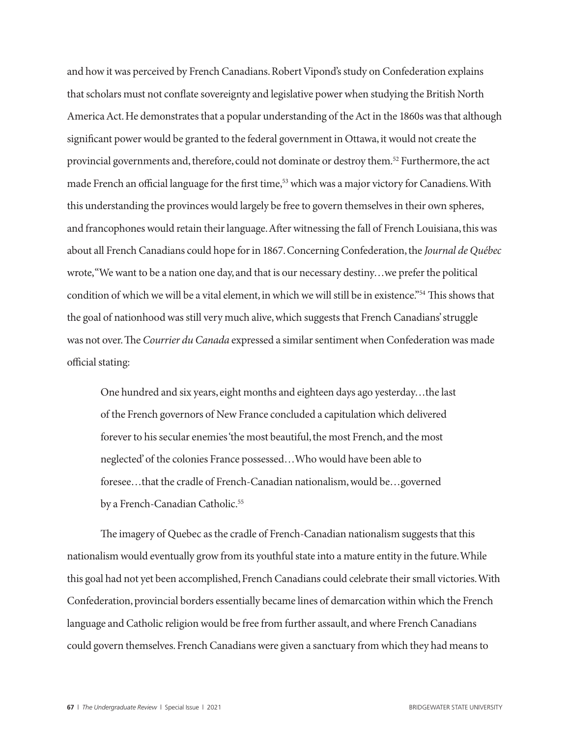and how it was perceived by French Canadians. Robert Vipond's study on Confederation explains that scholars must not conflate sovereignty and legislative power when studying the British North America Act. He demonstrates that a popular understanding of the Act in the 1860s was that although significant power would be granted to the federal government in Ottawa, it would not create the provincial governments and, therefore, could not dominate or destroy them.<sup>52</sup> Furthermore, the act made French an official language for the first time,<sup>53</sup> which was a major victory for Canadiens. With this understanding the provinces would largely be free to govern themselves in their own spheres, and francophones would retain their language. After witnessing the fall of French Louisiana, this was about all French Canadians could hope for in 1867. Concerning Confederation, the *Journal de Québec*  wrote, "We want to be a nation one day, and that is our necessary destiny…we prefer the political condition of which we will be a vital element, in which we will still be in existence."54 This shows that the goal of nationhood was still very much alive, which suggests that French Canadians' struggle was not over. The *Courrier du Canada* expressed a similar sentiment when Confederation was made official stating:

One hundred and six years, eight months and eighteen days ago yesterday…the last of the French governors of New France concluded a capitulation which delivered forever to his secular enemies 'the most beautiful, the most French, and the most neglected' of the colonies France possessed…Who would have been able to foresee…that the cradle of French-Canadian nationalism, would be…governed by a French-Canadian Catholic.<sup>55</sup>

The imagery of Quebec as the cradle of French-Canadian nationalism suggests that this nationalism would eventually grow from its youthful state into a mature entity in the future. While this goal had not yet been accomplished, French Canadians could celebrate their small victories. With Confederation, provincial borders essentially became lines of demarcation within which the French language and Catholic religion would be free from further assault, and where French Canadians could govern themselves. French Canadians were given a sanctuary from which they had means to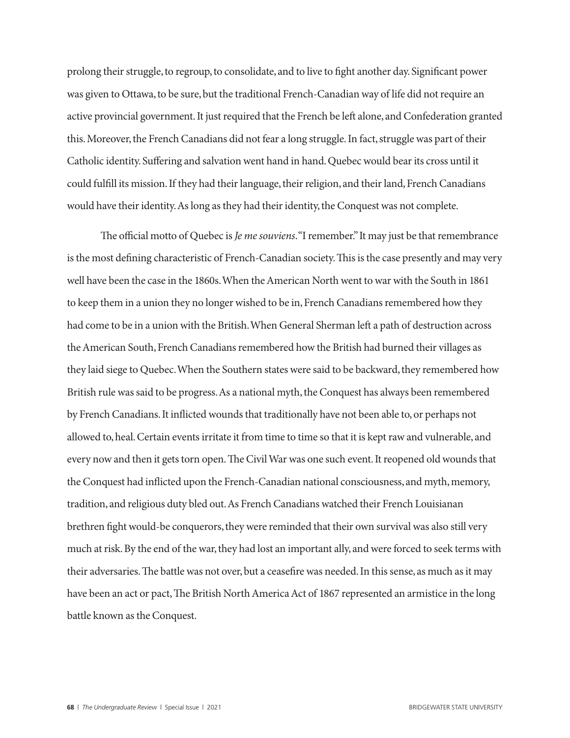prolong their struggle, to regroup, to consolidate, and to live to fight another day. Significant power was given to Ottawa, to be sure, but the traditional French-Canadian way of life did not require an active provincial government. It just required that the French be left alone, and Confederation granted this. Moreover, the French Canadians did not fear a long struggle. In fact, struggle was part of their Catholic identity. Suffering and salvation went hand in hand. Quebec would bear its cross until it could fulfill its mission. If they had their language, their religion, and their land, French Canadians would have their identity. As long as they had their identity, the Conquest was not complete.

The official motto of Quebec is *Je me souviens*. "I remember." It may just be that remembrance is the most defining characteristic of French-Canadian society. This is the case presently and may very well have been the case in the 1860s. When the American North went to war with the South in 1861 to keep them in a union they no longer wished to be in, French Canadians remembered how they had come to be in a union with the British. When General Sherman left a path of destruction across the American South, French Canadians remembered how the British had burned their villages as they laid siege to Quebec. When the Southern states were said to be backward, they remembered how British rule was said to be progress. As a national myth, the Conquest has always been remembered by French Canadians. It inflicted wounds that traditionally have not been able to, or perhaps not allowed to, heal. Certain events irritate it from time to time so that it is kept raw and vulnerable, and every now and then it gets torn open. The Civil War was one such event. It reopened old wounds that the Conquest had inflicted upon the French-Canadian national consciousness, and myth, memory, tradition, and religious duty bled out. As French Canadians watched their French Louisianan brethren fight would-be conquerors, they were reminded that their own survival was also still very much at risk. By the end of the war, they had lost an important ally, and were forced to seek terms with their adversaries. The battle was not over, but a ceasefire was needed. In this sense, as much as it may have been an act or pact, The British North America Act of 1867 represented an armistice in the long battle known as the Conquest.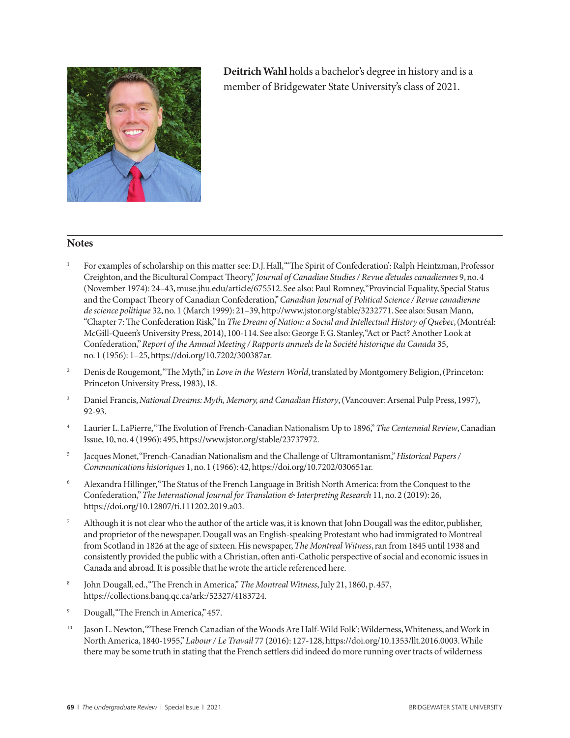

**Deitrich Wahl** holds a bachelor's degree in history and is a member of Bridgewater State University's class of 2021.

### **Notes**

- For examples of scholarship on this matter see: D.J. Hall, "The Spirit of Confederation': Ralph Heintzman, Professor Creighton, and the Bicultural Compact Theory," *Journal of Canadian Studies / Revue d'etudes canadiennes* 9, no. 4 (November 1974): 24–43, muse.jhu.edu/article/675512. See also: Paul Romney, "Provincial Equality, Special Status and the Compact Theory of Canadian Confederation," *Canadian Journal of Political Science / Revue canadienne de science politique* 32, no. 1 (March 1999): 21–39, http://www.jstor.org/stable/3232771. See also: Susan Mann, "Chapter 7: The Confederation Risk," In *The Dream of Nation: a Social and Intellectual History of Quebec*, (Montréal: McGill-Queen's University Press, 2014), 100-114. See also: George F. G. Stanley, "Act or Pact? Another Look at Confederation," *Report of the Annual Meeting / Rapports annuels de la Société historique du Canada* 35, no. 1 (1956): 1–25, https://doi.org/10.7202/300387ar.
- <sup>2</sup> Denis de Rougemont, "The Myth," in *Love in the Western World*, translated by Montgomery Beligion, (Princeton: Princeton University Press, 1983), 18.
- <sup>3</sup> Daniel Francis, *National Dreams: Myth, Memory, and Canadian History*, (Vancouver: Arsenal Pulp Press, 1997), 92-93.
- <sup>4</sup> Laurier L. LaPierre, "The Evolution of French-Canadian Nationalism Up to 1896," *The Centennial Review*, Canadian Issue, 10, no. 4 (1996): 495, https://www.jstor.org/stable/23737972.
- <sup>5</sup> Jacques Monet, "French-Canadian Nationalism and the Challenge of Ultramontanism," *Historical Papers / Communications historiques* 1, no. 1 (1966): 42, https://doi.org/10.7202/030651ar.
- <sup>6</sup> Alexandra Hillinger, "The Status of the French Language in British North America: from the Conquest to the Confederation," *The International Journal for Translation & Interpreting Research* 11, no. 2 (2019): 26, https://doi.org/10.12807/ti.111202.2019.a03.
- Although it is not clear who the author of the article was, it is known that John Dougall was the editor, publisher, and proprietor of the newspaper. Dougall was an English-speaking Protestant who had immigrated to Montreal from Scotland in 1826 at the age of sixteen. His newspaper, *The Montreal Witness*, ran from 1845 until 1938 and consistently provided the public with a Christian, often anti-Catholic perspective of social and economic issues in Canada and abroad. It is possible that he wrote the article referenced here.
- <sup>8</sup> John Dougall, ed., "The French in America," *The Montreal Witness*, July 21, 1860, p. 457, https://collections.banq.qc.ca/ark:/52327/4183724.
- Dougall, "The French in America," 457.
- <sup>10</sup> Jason L. Newton, "These French Canadian of the Woods Are Half-Wild Folk': Wilderness, Whiteness, and Work in North America, 1840-1955," *Labour / Le Travail* 77 (2016): 127-128, https://doi.org/10.1353/llt.2016.0003. While there may be some truth in stating that the French settlers did indeed do more running over tracts of wilderness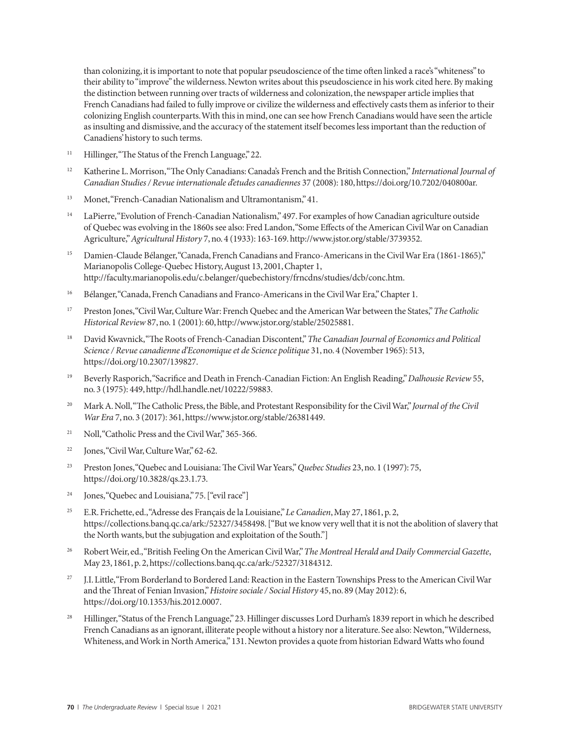than colonizing, it is important to note that popular pseudoscience of the time often linked a race's "whiteness" to their ability to "improve" the wilderness. Newton writes about this pseudoscience in his work cited here. By making the distinction between running over tracts of wilderness and colonization, the newspaper article implies that French Canadians had failed to fully improve or civilize the wilderness and effectively casts them as inferior to their colonizing English counterparts. With this in mind, one can see how French Canadians would have seen the article as insulting and dismissive, and the accuracy of the statement itself becomes less important than the reduction of Canadiens' history to such terms.

- <sup>11</sup> Hillinger, "The Status of the French Language," 22.
- <sup>12</sup> Katherine L. Morrison, "The Only Canadians: Canada's French and the British Connection," *International Journal of Canadian Studies / Revue internationale d'etudes canadiennes* 37 (2008): 180, https://doi.org/10.7202/040800ar.
- <sup>13</sup> Monet, "French-Canadian Nationalism and Ultramontanism," 41.
- <sup>14</sup> LaPierre, "Evolution of French-Canadian Nationalism," 497. For examples of how Canadian agriculture outside of Quebec was evolving in the 1860s see also: Fred Landon, "Some Effects of the American Civil War on Canadian Agriculture," *Agricultural History* 7, no. 4 (1933): 163-169. http://www.jstor.org/stable/3739352.
- Damien-Claude Bélanger, "Canada, French Canadians and Franco-Americans in the Civil War Era (1861-1865)," Marianopolis College-Quebec History, August 13, 2001, Chapter 1, http://faculty.marianopolis.edu/c.belanger/quebechistory/frncdns/studies/dcb/conc.htm.
- <sup>16</sup> Bélanger, "Canada, French Canadians and Franco-Americans in the Civil War Era," Chapter 1.
- <sup>17</sup> Preston Jones, "Civil War, Culture War: French Quebec and the American War between the States," *The Catholic Historical Review* 87, no. 1 (2001): 60, http://www.jstor.org/stable/25025881.
- <sup>18</sup> David Kwavnick, "The Roots of French-Canadian Discontent," *The Canadian Journal of Economics and Political Science / Revue canadienne d'Economique et de Science politique* 31, no. 4 (November 1965): 513, https://doi.org/10.2307/139827.
- <sup>19</sup> Beverly Rasporich, "Sacrifice and Death in French-Canadian Fiction: An English Reading," *Dalhousie Review* 55, no. 3 (1975): 449, http://hdl.handle.net/10222/59883.
- <sup>20</sup> Mark A. Noll, "The Catholic Press, the Bible, and Protestant Responsibility for the Civil War," *Journal of the Civil War Era* 7, no. 3 (2017): 361, https://www.jstor.org/stable/26381449.
- <sup>21</sup> Noll, "Catholic Press and the Civil War," 365-366.
- <sup>22</sup> Jones, "Civil War, Culture War," 62-62.
- <sup>23</sup> Preston Jones, "Quebec and Louisiana: The Civil War Years," *Quebec Studies* 23, no. 1 (1997): 75, https://doi.org/10.3828/qs.23.1.73.
- <sup>24</sup> Jones, "Quebec and Louisiana," 75. ["evil race"]
- <sup>25</sup> E.R. Frichette, ed., "Adresse des Français de la Louisiane," *Le Canadien*, May 27, 1861, p. 2, https://collections.banq.qc.ca/ark:/52327/3458498. ["But we know very well that it is not the abolition of slavery that the North wants, but the subjugation and exploitation of the South."]
- <sup>26</sup> Robert Weir, ed., "British Feeling On the American Civil War," *The Montreal Herald and Daily Commercial Gazette*, May 23, 1861, p. 2, https://collections.banq.qc.ca/ark:/52327/3184312.
- <sup>27</sup> J.I. Little, "From Borderland to Bordered Land: Reaction in the Eastern Townships Press to the American Civil War and the Threat of Fenian Invasion," *Histoire sociale / Social History* 45, no. 89 (May 2012): 6, https://doi.org/10.1353/his.2012.0007.
- <sup>28</sup> Hillinger, "Status of the French Language," 23. Hillinger discusses Lord Durham's 1839 report in which he described French Canadians as an ignorant, illiterate people without a history nor a literature. See also: Newton, "Wilderness, Whiteness, and Work in North America," 131. Newton provides a quote from historian Edward Watts who found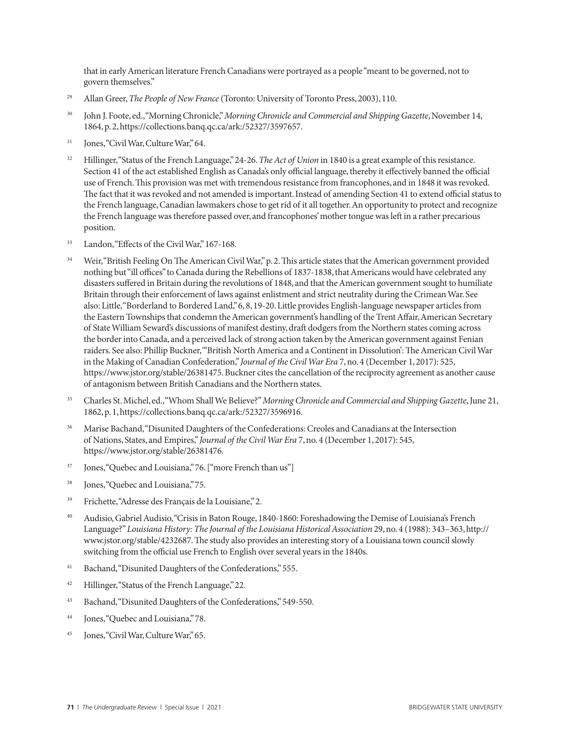that in early American literature French Canadians were portrayed as a people "meant to be governed, not to govern themselves."

- <sup>29</sup> Allan Greer, *The People of New France* (Toronto: University of Toronto Press, 2003), 110.
- <sup>30</sup> John J. Foote, ed., "Morning Chronicle," *Morning Chronicle and Commercial and Shipping Gazette*, November 14, 1864, p. 2, https://collections.banq.qc.ca/ark:/52327/3597657.
- <sup>31</sup> Jones, "Civil War, Culture War," 64.
- <sup>32</sup> Hillinger, "Status of the French Language," 24-26. *The Act of Union* in 1840 is a great example of this resistance. Section 41 of the act established English as Canada's only official language, thereby it effectively banned the official use of French. This provision was met with tremendous resistance from francophones, and in 1848 it was revoked. The fact that it was revoked and not amended is important. Instead of amending Section 41 to extend official status to the French language, Canadian lawmakers chose to get rid of it all together. An opportunity to protect and recognize the French language was therefore passed over, and francophones' mother tongue was left in a rather precarious position.
- <sup>33</sup> Landon, "Effects of the Civil War," 167-168.
- <sup>34</sup> Weir, "British Feeling On The American Civil War," p. 2. This article states that the American government provided nothing but "ill offices" to Canada during the Rebellions of 1837-1838, that Americans would have celebrated any disasters suffered in Britain during the revolutions of 1848, and that the American government sought to humiliate Britain through their enforcement of laws against enlistment and strict neutrality during the Crimean War. See also: Little, "Borderland to Bordered Land," 6, 8, 19-20. Little provides English-language newspaper articles from the Eastern Townships that condemn the American government's handling of the Trent Affair, American Secretary of State William Seward's discussions of manifest destiny, draft dodgers from the Northern states coming across the border into Canada, and a perceived lack of strong action taken by the American government against Fenian raiders. See also: Phillip Buckner, "'British North America and a Continent in Dissolution': The American Civil War in the Making of Canadian Confederation," *Journal of the Civil War Era* 7, no. 4 (December 1, 2017): 525, https://www.jstor.org/stable/26381475. Buckner cites the cancellation of the reciprocity agreement as another cause of antagonism between British Canadians and the Northern states.
- <sup>35</sup> Charles St. Michel, ed., "Whom Shall We Believe?" *Morning Chronicle and Commercial and Shipping Gazette*, June 21, 1862, p. 1, https://collections.banq.qc.ca/ark:/52327/3596916.
- <sup>36</sup> Marise Bachand, "Disunited Daughters of the Confederations: Creoles and Canadians at the Intersection of Nations, States, and Empires," *Journal of the Civil War Era* 7, no. 4 (December 1, 2017): 545, https://www.jstor.org/stable/26381476.
- <sup>37</sup> Jones, "Quebec and Louisiana," 76. ["more French than us"]
- <sup>38</sup> Jones, "Quebec and Louisiana," 75.
- <sup>39</sup> Frichette, "Adresse des Français de la Louisiane," 2.
- <sup>40</sup> Audisio, Gabriel Audisio, "Crisis in Baton Rouge, 1840-1860: Foreshadowing the Demise of Louisiana's French Language?" *Louisiana History: The Journal of the Louisiana Historical Association* 29, no. 4 (1988): 343–363, http:// www.jstor.org/stable/4232687. The study also provides an interesting story of a Louisiana town council slowly switching from the official use French to English over several years in the 1840s.
- <sup>41</sup> Bachand, "Disunited Daughters of the Confederations," 555.
- <sup>42</sup> Hillinger, "Status of the French Language," 22.
- <sup>43</sup> Bachand, "Disunited Daughters of the Confederations," 549-550.
- <sup>44</sup> Jones, "Quebec and Louisiana," 78.
- <sup>45</sup> Jones, "Civil War, Culture War," 65.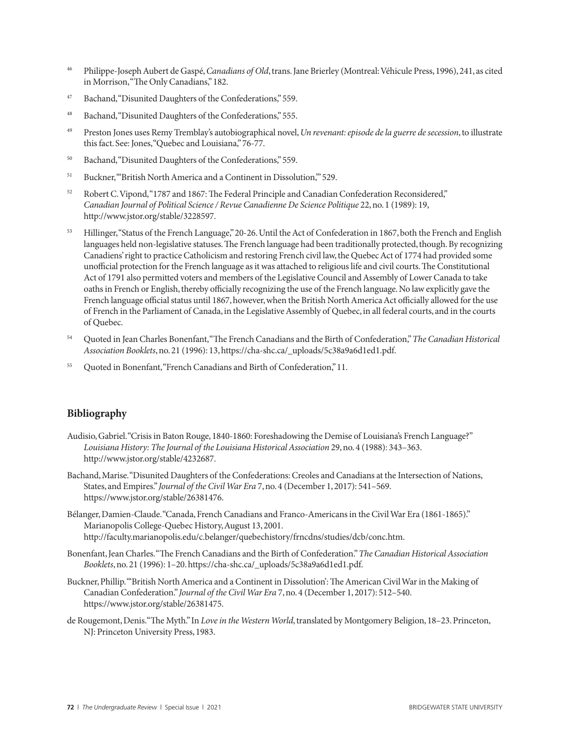- <sup>46</sup> Philippe-Joseph Aubert de Gaspé, *Canadians of Old*, trans. Jane Brierley (Montreal: Véhicule Press, 1996), 241, as cited in Morrison, "The Only Canadians," 182.
- <sup>47</sup> Bachand, "Disunited Daughters of the Confederations," 559.
- <sup>48</sup> Bachand, "Disunited Daughters of the Confederations," 555.
- <sup>49</sup> Preston Jones uses Remy Tremblay's autobiographical novel, *Un revenant: episode de la guerre de secession*, to illustrate this fact. See: Jones, "Quebec and Louisiana," 76-77.
- <sup>50</sup> Bachand, "Disunited Daughters of the Confederations," 559.
- <sup>51</sup> Buckner, "British North America and a Continent in Dissolution," 529.
- <sup>52</sup> Robert C. Vipond, "1787 and 1867: The Federal Principle and Canadian Confederation Reconsidered," *Canadian Journal of Political Science / Revue Canadienne De Science Politique* 22, no. 1 (1989): 19, http://www.jstor.org/stable/3228597.
- <sup>53</sup> Hillinger, "Status of the French Language," 20-26. Until the Act of Confederation in 1867, both the French and English languages held non-legislative statuses. The French language had been traditionally protected, though. By recognizing Canadiens' right to practice Catholicism and restoring French civil law, the Quebec Act of 1774 had provided some unofficial protection for the French language as it was attached to religious life and civil courts. The Constitutional Act of 1791 also permitted voters and members of the Legislative Council and Assembly of Lower Canada to take oaths in French or English, thereby officially recognizing the use of the French language. No law explicitly gave the French language official status until 1867, however, when the British North America Act officially allowed for the use of French in the Parliament of Canada, in the Legislative Assembly of Quebec, in all federal courts, and in the courts of Quebec.
- <sup>54</sup> Quoted in Jean Charles Bonenfant, "The French Canadians and the Birth of Confederation," *The Canadian Historical Association Booklets*, no. 21 (1996): 13, https://cha-shc.ca/\_uploads/5c38a9a6d1ed1.pdf.
- <sup>55</sup> Quoted in Bonenfant, "French Canadians and Birth of Confederation," 11.

### **Bibliography**

- Audisio, Gabriel. "Crisis in Baton Rouge, 1840-1860: Foreshadowing the Demise of Louisiana's French Language?" *Louisiana History: The Journal of the Louisiana Historical Association* 29, no. 4 (1988): 343–363. http://www.jstor.org/stable/4232687.
- Bachand, Marise. "Disunited Daughters of the Confederations: Creoles and Canadians at the Intersection of Nations, States, and Empires." *Journal of the Civil War Era* 7, no. 4 (December 1, 2017): 541–569. https://www.jstor.org/stable/26381476.
- Bélanger, Damien-Claude. "Canada, French Canadians and Franco-Americans in the Civil War Era (1861-1865)." Marianopolis College-Quebec History, August 13, 2001. http://faculty.marianopolis.edu/c.belanger/quebechistory/frncdns/studies/dcb/conc.htm.
- Bonenfant, Jean Charles. "The French Canadians and the Birth of Confederation." *The Canadian Historical Association Booklets*, no. 21 (1996): 1–20. https://cha-shc.ca/\_uploads/5c38a9a6d1ed1.pdf.
- Buckner, Phillip. "'British North America and a Continent in Dissolution': The American Civil War in the Making of Canadian Confederation." *Journal of the Civil War Era* 7, no. 4 (December 1, 2017): 512–540. https://www.jstor.org/stable/26381475.
- de Rougemont, Denis."The Myth." In *Love in the Western World*, translated by Montgomery Beligion, 18–23. Princeton, NJ: Princeton University Press, 1983.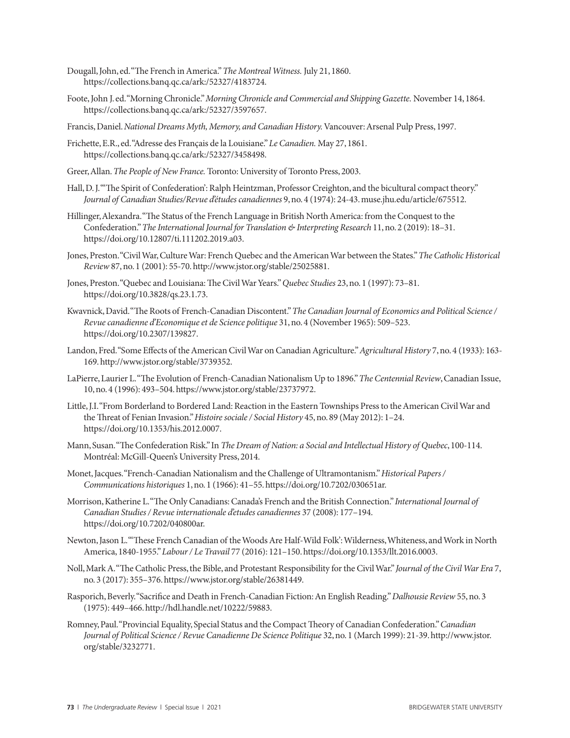- Dougall, John, ed. "The French in America." *The Montreal Witness.* July 21, 1860. https://collections.banq.qc.ca/ark:/52327/4183724.
- Foote, John J. ed. "Morning Chronicle." *Morning Chronicle and Commercial and Shipping Gazette.* November 14, 1864. https://collections.banq.qc.ca/ark:/52327/3597657.
- Francis, Daniel. *National Dreams Myth, Memory, and Canadian History.* Vancouver: Arsenal Pulp Press, 1997.
- Frichette, E.R., ed. "Adresse des Français de la Louisiane." *Le Canadien.* May 27, 1861. https://collections.banq.qc.ca/ark:/52327/3458498.
- Greer, Allan. *The People of New France.* Toronto: University of Toronto Press, 2003.
- Hall, D. J. ""The Spirit of Confederation': Ralph Heintzman, Professor Creighton, and the bicultural compact theory." *Journal of Canadian Studies/Revue d'études canadiennes* 9, no. 4 (1974): 24-43. muse.jhu.edu/article/675512.
- Hillinger, Alexandra. "The Status of the French Language in British North America: from the Conquest to the Confederation." *The International Journal for Translation & Interpreting Research* 11, no. 2 (2019): 18–31. https://doi.org/10.12807/ti.111202.2019.a03.
- Jones, Preston. "Civil War, Culture War: French Quebec and the American War between the States." *The Catholic Historical Review* 87, no. 1 (2001): 55-70. http://www.jstor.org/stable/25025881.
- Jones, Preston. "Quebec and Louisiana: The Civil War Years." *Quebec Studies* 23, no. 1 (1997): 73–81. https://doi.org/10.3828/qs.23.1.73.
- Kwavnick, David. "The Roots of French-Canadian Discontent." *The Canadian Journal of Economics and Political Science / Revue canadienne d'Economique et de Science politique* 31, no. 4 (November 1965): 509–523. https://doi.org/10.2307/139827.
- Landon, Fred. "Some Effects of the American Civil War on Canadian Agriculture." *Agricultural History* 7, no. 4 (1933): 163- 169. http://www.jstor.org/stable/3739352.
- LaPierre, Laurier L. "The Evolution of French-Canadian Nationalism Up to 1896." *The Centennial Review*, Canadian Issue, 10, no. 4 (1996): 493–504. https://www.jstor.org/stable/23737972.
- Little, J.I. "From Borderland to Bordered Land: Reaction in the Eastern Townships Press to the American Civil War and the Threat of Fenian Invasion." *Histoire sociale / Social History* 45, no. 89 (May 2012): 1–24. https://doi.org/10.1353/his.2012.0007.
- Mann, Susan. "The Confederation Risk." In *The Dream of Nation: a Social and Intellectual History of Quebec*, 100-114. Montréal: McGill-Queen's University Press, 2014.
- Monet, Jacques. "French-Canadian Nationalism and the Challenge of Ultramontanism." *Historical Papers / Communications historiques* 1, no. 1 (1966): 41–55. https://doi.org/10.7202/030651ar.
- Morrison, Katherine L. "The Only Canadians: Canada's French and the British Connection." *International Journal of Canadian Studies / Revue internationale d'etudes canadiennes* 37 (2008): 177–194. https://doi.org/10.7202/040800ar.
- Newton, Jason L. "'These French Canadian of the Woods Are Half-Wild Folk': Wilderness, Whiteness, and Work in North America, 1840-1955." *Labour / Le Travail* 77 (2016): 121–150. https://doi.org/10.1353/llt.2016.0003.
- Noll, Mark A. "The Catholic Press, the Bible, and Protestant Responsibility for the Civil War." *Journal of the Civil War Era* 7, no. 3 (2017): 355–376. https://www.jstor.org/stable/26381449.
- Rasporich, Beverly. "Sacrifice and Death in French-Canadian Fiction: An English Reading." *Dalhousie Review* 55, no. 3 (1975): 449–466. http://hdl.handle.net/10222/59883.
- Romney, Paul. "Provincial Equality, Special Status and the Compact Theory of Canadian Confederation." *Canadian Journal of Political Science / Revue Canadienne De Science Politique* 32, no. 1 (March 1999): 21-39. http://www.jstor. org/stable/3232771.